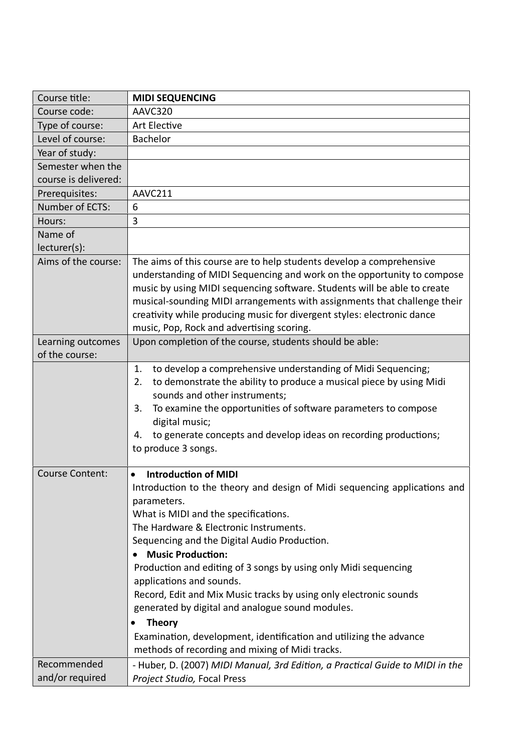| Course title:          | <b>MIDI SEQUENCING</b>                                                                                     |
|------------------------|------------------------------------------------------------------------------------------------------------|
| Course code:           | AAVC320                                                                                                    |
| Type of course:        | Art Elective                                                                                               |
| Level of course:       | Bachelor                                                                                                   |
| Year of study:         |                                                                                                            |
| Semester when the      |                                                                                                            |
| course is delivered:   |                                                                                                            |
| Prerequisites:         | AAVC211                                                                                                    |
| Number of ECTS:        | 6                                                                                                          |
| Hours:                 | 3                                                                                                          |
| Name of                |                                                                                                            |
| lecturer(s):           |                                                                                                            |
| Aims of the course:    | The aims of this course are to help students develop a comprehensive                                       |
|                        | understanding of MIDI Sequencing and work on the opportunity to compose                                    |
|                        | music by using MIDI sequencing software. Students will be able to create                                   |
|                        | musical-sounding MIDI arrangements with assignments that challenge their                                   |
|                        | creativity while producing music for divergent styles: electronic dance                                    |
|                        | music, Pop, Rock and advertising scoring.                                                                  |
| Learning outcomes      | Upon completion of the course, students should be able:                                                    |
| of the course:         |                                                                                                            |
|                        | to develop a comprehensive understanding of Midi Sequencing;<br>1.                                         |
|                        | to demonstrate the ability to produce a musical piece by using Midi<br>2.<br>sounds and other instruments; |
|                        | To examine the opportunities of software parameters to compose<br>3.                                       |
|                        | digital music;                                                                                             |
|                        | to generate concepts and develop ideas on recording productions;<br>4.                                     |
|                        | to produce 3 songs.                                                                                        |
|                        |                                                                                                            |
| <b>Course Content:</b> | <b>Introduction of MIDI</b>                                                                                |
|                        | Introduction to the theory and design of Midi sequencing applications and                                  |
|                        | parameters.                                                                                                |
|                        | What is MIDI and the specifications.                                                                       |
|                        | The Hardware & Electronic Instruments.                                                                     |
|                        | Sequencing and the Digital Audio Production.                                                               |
|                        | <b>Music Production:</b>                                                                                   |
|                        | Production and editing of 3 songs by using only Midi sequencing                                            |
|                        | applications and sounds.                                                                                   |
|                        | Record, Edit and Mix Music tracks by using only electronic sounds                                          |
|                        | generated by digital and analogue sound modules.                                                           |
|                        | <b>Theory</b>                                                                                              |
|                        | Examination, development, identification and utilizing the advance                                         |
|                        | methods of recording and mixing of Midi tracks.                                                            |
| Recommended            | - Huber, D. (2007) MIDI Manual, 3rd Edition, a Practical Guide to MIDI in the                              |
| and/or required        | Project Studio, Focal Press                                                                                |